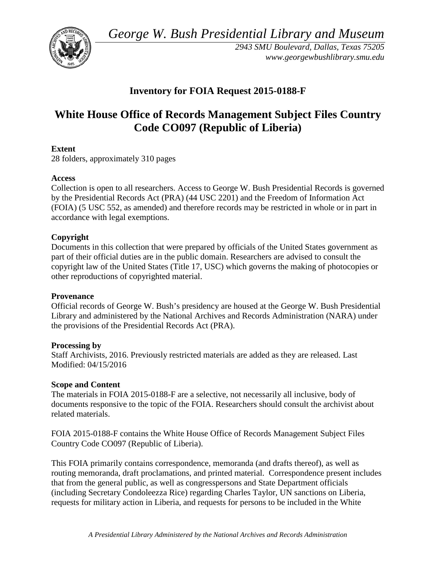*George W. Bush Presidential Library and Museum* 



 *2943 SMU Boulevard, Dallas, Texas 75205 <www.georgewbushlibrary.smu.edu>*

# **Inventory for FOIA Request 2015-0188-F**

# **White House Office of Records Management Subject Files Country Code CO097 (Republic of Liberia)**

# **Extent**

28 folders, approximately 310 pages

# **Access**

 by the Presidential Records Act (PRA) (44 USC 2201) and the Freedom of Information Act Collection is open to all researchers. Access to George W. Bush Presidential Records is governed (FOIA) (5 USC 552, as amended) and therefore records may be restricted in whole or in part in accordance with legal exemptions.

# **Copyright**

 Documents in this collection that were prepared by officials of the United States government as part of their official duties are in the public domain. Researchers are advised to consult the copyright law of the United States (Title 17, USC) which governs the making of photocopies or other reproductions of copyrighted material.

#### **Provenance**

 Official records of George W. Bush's presidency are housed at the George W. Bush Presidential Library and administered by the National Archives and Records Administration (NARA) under the provisions of the Presidential Records Act (PRA).

#### **Processing by**

 Modified: 04/15/2016 Staff Archivists, 2016. Previously restricted materials are added as they are released. Last

#### **Scope and Content**

The materials in FOIA 2015-0188-F are a selective, not necessarily all inclusive, body of documents responsive to the topic of the FOIA. Researchers should consult the archivist about related materials.

 FOIA 2015-0188-F contains the White House Office of Records Management Subject Files Country Code CO097 (Republic of Liberia).

 This FOIA primarily contains correspondence, memoranda (and drafts thereof), as well as routing memoranda, draft proclamations, and printed material. Correspondence present includes that from the general public, as well as congresspersons and State Department officials (including Secretary Condoleezza Rice) regarding Charles Taylor, UN sanctions on Liberia, requests for military action in Liberia, and requests for persons to be included in the White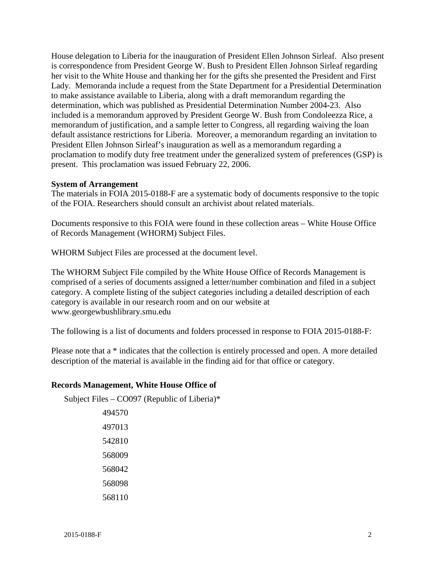her visit to the White House and thanking her for the gifts she presented the President and First to make assistance available to Liberia, along with a draft memorandum regarding the President Ellen Johnson Sirleaf's inauguration as well as a memorandum regarding a House delegation to Liberia for the inauguration of President Ellen Johnson Sirleaf. Also present is correspondence from President George W. Bush to President Ellen Johnson Sirleaf regarding Lady. Memoranda include a request from the State Department for a Presidential Determination determination, which was published as Presidential Determination Number 2004-23. Also included is a memorandum approved by President George W. Bush from Condoleezza Rice, a memorandum of justification, and a sample letter to Congress, all regarding waiving the loan default assistance restrictions for Liberia. Moreover, a memorandum regarding an invitation to proclamation to modify duty free treatment under the generalized system of preferences (GSP) is present. This proclamation was issued February 22, 2006.

# **System of Arrangement**

 The materials in FOIA 2015-0188-F are a systematic body of documents responsive to the topic of the FOIA. Researchers should consult an archivist about related materials.

Documents responsive to this FOIA were found in these collection areas – White House Office of Records Management (WHORM) Subject Files.

WHORM Subject Files are processed at the document level.

The WHORM Subject File compiled by the White House Office of Records Management is comprised of a series of documents assigned a letter/number combination and filed in a subject category. A complete listing of the subject categories including a detailed description of each category is available in our research room and on our website at <www.georgewbushlibrary.smu.edu>

The following is a list of documents and folders processed in response to FOIA 2015-0188-F:

 description of the material is available in the finding aid for that office or category. Please note that a \* indicates that the collection is entirely processed and open. A more detailed

#### **Records Management, White House Office of**

Subject Files – CO097 (Republic of Liberia)\*